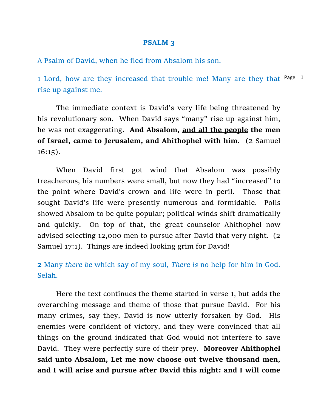## **PSALM 3**

A Psalm of David, when he fled from Absalom his son.

1 Lord, how are they increased that trouble me! Many are they that Page | 1 rise up against me.

The immediate context is David's very life being threatened by his revolutionary son. When David says "many" rise up against him, he was not exaggerating. **And Absalom, and all the people the men of Israel, came to Jerusalem, and Ahithophel with him.** (2 Samuel 16:15).

When David first got wind that Absalom was possibly treacherous, his numbers were small, but now they had "increased" to the point where David's crown and life were in peril. Those that sought David's life were presently numerous and formidable. Polls showed Absalom to be quite popular; political winds shift dramatically and quickly. On top of that, the great counselor Ahithophel now advised selecting 12,000 men to pursue after David that very night. (2 Samuel 17:1). Things are indeed looking grim for David!

**2** Many *there be* which say of my soul, *There is* [no help for him in God.](https://www.kingjamesbibleonline.org/Psalms-3-2/)  [Selah.](https://www.kingjamesbibleonline.org/Psalms-3-2/)

Here the text continues the theme started in verse 1, but adds the overarching message and theme of those that pursue David. For his many crimes, say they, David is now utterly forsaken by God. His enemies were confident of victory, and they were convinced that all things on the ground indicated that God would not interfere to save David. They were perfectly sure of their prey. **Moreover Ahithophel said unto Absalom, Let me now choose out twelve thousand men, and I will arise and pursue after David this night: and I will come**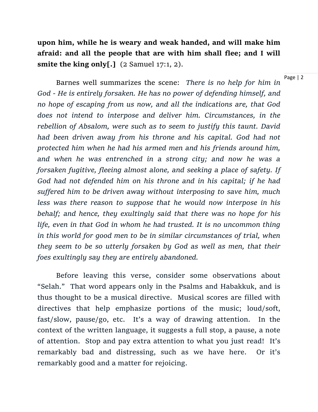**upon him, while he is weary and weak handed, and will make him afraid: and all the people that are with him shall flee; and I will smite the king only[.]** (2 Samuel 17:1, 2).

Page | 2

Barnes well summarizes the scene: *There is no help for him in God - He is entirely forsaken. He has no power of defending himself, and no hope of escaping from us now, and all the indications are, that God does not intend to interpose and deliver him. Circumstances, in the rebellion of Absalom, were such as to seem to justify this taunt. David had been driven away from his throne and his capital. God had not protected him when he had his armed men and his friends around him, and when he was entrenched in a strong city; and now he was a forsaken fugitive, fleeing almost alone, and seeking a place of safety. If God had not defended him on his throne and in his capital; if he had suffered him to be driven away without interposing to save him, much less was there reason to suppose that he would now interpose in his behalf; and hence, they exultingly said that there was no hope for his life, even in that God in whom he had trusted. It is no uncommon thing in this world for good men to be in similar circumstances of trial, when they seem to be so utterly forsaken by God as well as men, that their foes exultingly say they are entirely abandoned.*

Before leaving this verse, consider some observations about "Selah." That word appears only in the Psalms and Habakkuk, and is thus thought to be a musical directive. Musical scores are filled with directives that help emphasize portions of the music; loud/soft, fast/slow, pause/go, etc. It's a way of drawing attention. In the context of the written language, it suggests a full stop, a pause, a note of attention. Stop and pay extra attention to what you just read! It's remarkably bad and distressing, such as we have here. Or it's remarkably good and a matter for rejoicing.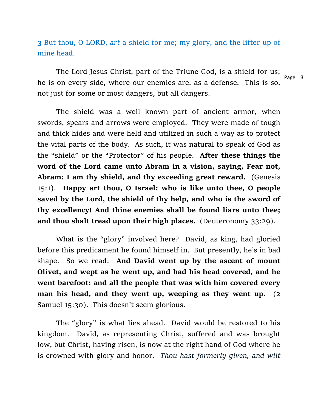**3** But thou, O LORD, *art* [a shield for me; my glory, and the lifter up of](https://www.kingjamesbibleonline.org/Psalms-3-3/)  [mine head.](https://www.kingjamesbibleonline.org/Psalms-3-3/)

The Lord Jesus Christ, part of the Triune God, is a shield for us; he is on every side, where our enemies are, as a defense. This is so, not just for some or most dangers, but all dangers.

The shield was a well known part of ancient armor, when swords, spears and arrows were employed. They were made of tough and thick hides and were held and utilized in such a way as to protect the vital parts of the body. As such, it was natural to speak of God as the "shield" or the "Protector" of his people. **After these things the word of the Lord came unto Abram in a vision, saying, Fear not, Abram: I am thy shield, and thy exceeding great reward.** (Genesis 15:1). **Happy art thou, O Israel: who is like unto thee, O people saved by the Lord, the shield of thy help, and who is the sword of thy excellency! And thine enemies shall be found liars unto thee; and thou shalt tread upon their high places.** (Deuteronomy 33:29).

What is the "glory" involved here? David, as king, had gloried before this predicament he found himself in. But presently, he's in bad shape. So we read: **And David went up by the ascent of mount Olivet, and wept as he went up, and had his head covered, and he went barefoot: and all the people that was with him covered every man his head, and they went up, weeping as they went up.** (2 Samuel 15:30). This doesn't seem glorious.

The "glory" is what lies ahead. David would be restored to his kingdom. David, as representing Christ, suffered and was brought low, but Christ, having risen, is now at the right hand of God where he is crowned with glory and honor. *Thou hast formerly given, and wilt* 

Page | 3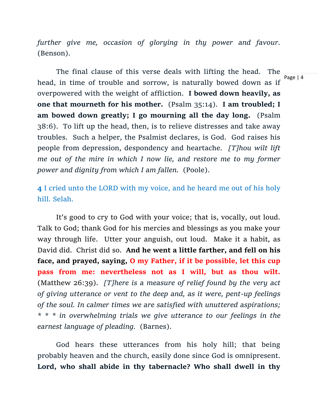*further give me, occasion of glorying in thy power and favour.*  (Benson).

The final clause of this verse deals with lifting the head. The head, in time of trouble and sorrow, is naturally bowed down as if overpowered with the weight of affliction. **I bowed down heavily, as one that mourneth for his mother.** (Psalm 35:14). **I am troubled; I am bowed down greatly; I go mourning all the day long.** (Psalm 38:6). To lift up the head, then, is to relieve distresses and take away troubles. Such a helper, the Psalmist declares, is God. God raises his people from depression, despondency and heartache. *[T]hou wilt lift me out of the mire in which I now lie, and restore me to my former power and dignity from which I am fallen.* (Poole).

**4** [I cried unto the LORD with my voice, and he heard me out of his holy](https://www.kingjamesbibleonline.org/Psalms-3-4/)  [hill. Selah.](https://www.kingjamesbibleonline.org/Psalms-3-4/)

It's good to cry to God with your voice; that is, vocally, out loud. Talk to God; thank God for his mercies and blessings as you make your way through life. Utter your anguish, out loud. Make it a habit, as David did. Christ did so. **And he went a little farther, and fell on his face, and prayed, saying, O my Father, if it be possible, let this cup pass from me: nevertheless not as I will, but as thou wilt.**  (Matthew 26:39). *[T]here is a measure of relief found by the very act of giving utterance or vent to the deep and, as it were, pent-up feelings of the soul. In calmer times we are satisfied with unuttered aspirations; \* \* \* in overwhelming trials we give utterance to our feelings in the earnest language of pleading.* (Barnes).

God hears these utterances from his holy hill; that being probably heaven and the church, easily done since God is omnipresent. **Lord, who shall abide in thy tabernacle? Who shall dwell in thy** 

Page | 4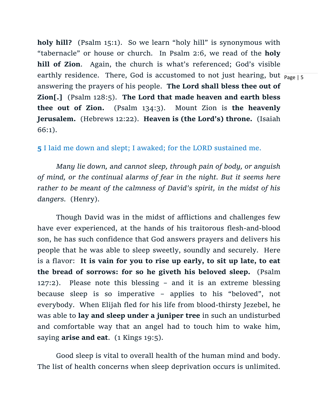earthly residence. There, God is accustomed to not just hearing, but  $\frac{}{\mathsf{p}_{\mathsf{age}\,|\,5}}$ **holy hill?** (Psalm 15:1). So we learn "holy hill" is synonymous with "tabernacle" or house or church. In Psalm 2:6, we read of the **holy hill of Zion**. Again, the church is what's referenced; God's visible answering the prayers of his people. **The Lord shall bless thee out of Zion[.]** (Psalm 128:5). **The Lord that made heaven and earth bless thee out of Zion.** (Psalm 134:3). Mount Zion is **the heavenly Jerusalem.** (Hebrews 12:22). **Heaven is (the Lord's) throne.** (Isaiah 66:1).

**5** [I laid me down and slept; I awaked; for the LORD sustained me.](https://www.kingjamesbibleonline.org/Psalms-3-5/)

*Many lie down, and cannot sleep, through pain of body, or anguish of mind, or the continual alarms of fear in the night. But it seems here rather to be meant of the calmness of David's spirit, in the midst of his dangers.* (Henry).

Though David was in the midst of afflictions and challenges few have ever experienced, at the hands of his traitorous flesh-and-blood son, he has such confidence that God answers prayers and delivers his people that he was able to sleep sweetly, soundly and securely. Here is a flavor: **It is vain for you to rise up early, to sit up late, to eat the bread of sorrows: for so he giveth his beloved sleep.** (Psalm 127:2). Please note this blessing – and it is an extreme blessing because sleep is so imperative – applies to his "beloved", not everybody. When Elijah fled for his life from blood-thirsty Jezebel, he was able to **lay and sleep under a juniper tree** in such an undisturbed and comfortable way that an angel had to touch him to wake him, saying **arise and eat**. (1 Kings 19:5).

Good sleep is vital to overall health of the human mind and body. The list of health concerns when sleep deprivation occurs is unlimited.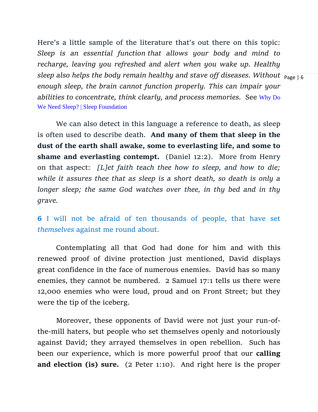sleep also helps the body remain healthy and stave off diseases. Without  $\frac{}{\text{p}_{\text{age}}+\text{6}}$ Here's a little sample of the literature that's out there on this topic: *Sleep is an essential function that allows your body and mind to recharge, leaving you refreshed and alert when you wake up. Healthy enough sleep, the brain cannot function properly. This can impair your abilities to concentrate, think clearly, and process memories.* See [Why Do](https://www.sleepfoundation.org/how-sleep-works/why-do-we-need-sleep)  [We Need Sleep? | Sleep Foundation](https://www.sleepfoundation.org/how-sleep-works/why-do-we-need-sleep) 

We can also detect in this language a reference to death, as sleep is often used to describe death. **And many of them that sleep in the dust of the earth shall awake, some to everlasting life, and some to shame and everlasting contempt.** (Daniel 12:2). More from Henry on that aspect: *[L]et faith teach thee how to sleep, and how to die; while it assures thee that as sleep is a short death, so death is only a longer sleep; the same God watches over thee, in thy bed and in thy grave.*

**6** [I will not be afraid of ten thousands of people, that have set](https://www.kingjamesbibleonline.org/Psalms-3-6/)  *themselves* [against me round about.](https://www.kingjamesbibleonline.org/Psalms-3-6/)

Contemplating all that God had done for him and with this renewed proof of divine protection just mentioned, David displays great confidence in the face of numerous enemies. David has so many enemies, they cannot be numbered. 2 Samuel 17:1 tells us there were 12,000 enemies who were loud, proud and on Front Street; but they were the tip of the iceberg.

Moreover, these opponents of David were not just your run-ofthe-mill haters, but people who set themselves openly and notoriously against David; they arrayed themselves in open rebellion. Such has been our experience, which is more powerful proof that our **calling and election (is) sure.** (2 Peter 1:10). And right here is the proper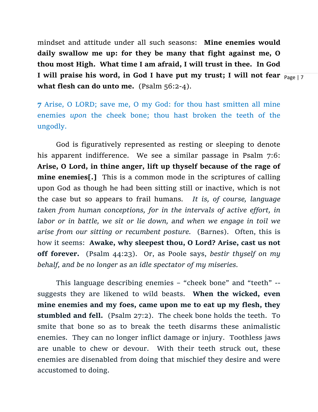**I** will praise his word, in God I have put my trust; I will not fear  $\frac{}{\mathsf{p}_{\mathsf{age} \mathcal{|}}7}$ mindset and attitude under all such seasons: **Mine enemies would daily swallow me up: for they be many that fight against me, O thou most High. What time I am afraid, I will trust in thee. In God what flesh can do unto me.** (Psalm 56:2-4).

**7** [Arise, O LORD; save me, O my God: for thou hast smitten all mine](https://www.kingjamesbibleonline.org/Psalms-3-7/)  enemies *upon* [the cheek bone; thou hast broken the teeth of the](https://www.kingjamesbibleonline.org/Psalms-3-7/)  [ungodly.](https://www.kingjamesbibleonline.org/Psalms-3-7/)

God is figuratively represented as resting or sleeping to denote his apparent indifference. We see a similar passage in Psalm 7:6: **Arise, O Lord, in thine anger, lift up thyself because of the rage of mine enemies[.]** This is a common mode in the scriptures of calling upon God as though he had been sitting still or inactive, which is not the case but so appears to frail humans*. It is, of course, language taken from human conceptions, for in the intervals of active effort, in labor or in battle, we sit or lie down, and when we engage in toil we arise from our sitting or recumbent posture.* (Barnes). Often, this is how it seems: **Awake, why sleepest thou, O Lord? Arise, cast us not off forever.** (Psalm 44:23). Or, as Poole says, *bestir thyself on my behalf, and be no longer as an idle spectator of my miseries.* 

This language describing enemies – "cheek bone" and "teeth" - suggests they are likened to wild beasts. **When the wicked, even mine enemies and my foes, came upon me to eat up my flesh, they stumbled and fell.** (Psalm 27:2). The cheek bone holds the teeth. To smite that bone so as to break the teeth disarms these animalistic enemies. They can no longer inflict damage or injury. Toothless jaws are unable to chew or devour. With their teeth struck out, these enemies are disenabled from doing that mischief they desire and were accustomed to doing.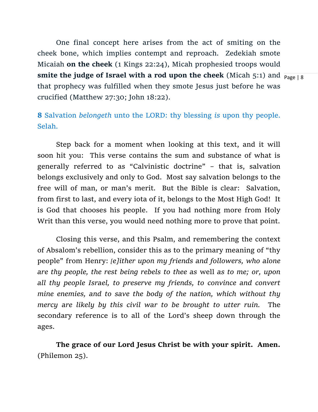**smite the judge of Israel with a rod upon the cheek** (Micah 5:1) and  $\frac{}{\mathsf{p}_{\mathsf{age}\,|\,8}}$ One final concept here arises from the act of smiting on the cheek bone, which implies contempt and reproach. Zedekiah smote Micaiah **on the cheek** (1 Kings 22:24), Micah prophesied troops would that prophecy was fulfilled when they smote Jesus just before he was crucified (Matthew 27:30; John 18:22).

**8** Salvation *belongeth* [unto the LORD: thy blessing](https://www.kingjamesbibleonline.org/Psalms-3-8/) *is* upon thy people. [Selah.](https://www.kingjamesbibleonline.org/Psalms-3-8/)

Step back for a moment when looking at this text, and it will soon hit you: This verse contains the sum and substance of what is generally referred to as "Calvinistic doctrine" – that is, salvation belongs exclusively and only to God. Most say salvation belongs to the free will of man, or man's merit. But the Bible is clear: Salvation, from first to last, and every iota of it, belongs to the Most High God! It is God that chooses his people. If you had nothing more from Holy Writ than this verse, you would need nothing more to prove that point.

Closing this verse, and this Psalm, and remembering the context of Absalom's rebellion, consider this as to the primary meaning of "thy people" from Henry: *[e]ither upon my friends and followers, who alone are thy people, the rest being rebels to thee as* well *as to me; or, upon all thy people Israel, to preserve my friends, to convince and convert mine enemies, and to save the body of the nation, which without thy mercy are likely by this civil war to be brought to utter ruin.* The secondary reference is to all of the Lord's sheep down through the ages.

**The grace of our Lord Jesus Christ be with your spirit. Amen.**  (Philemon 25).